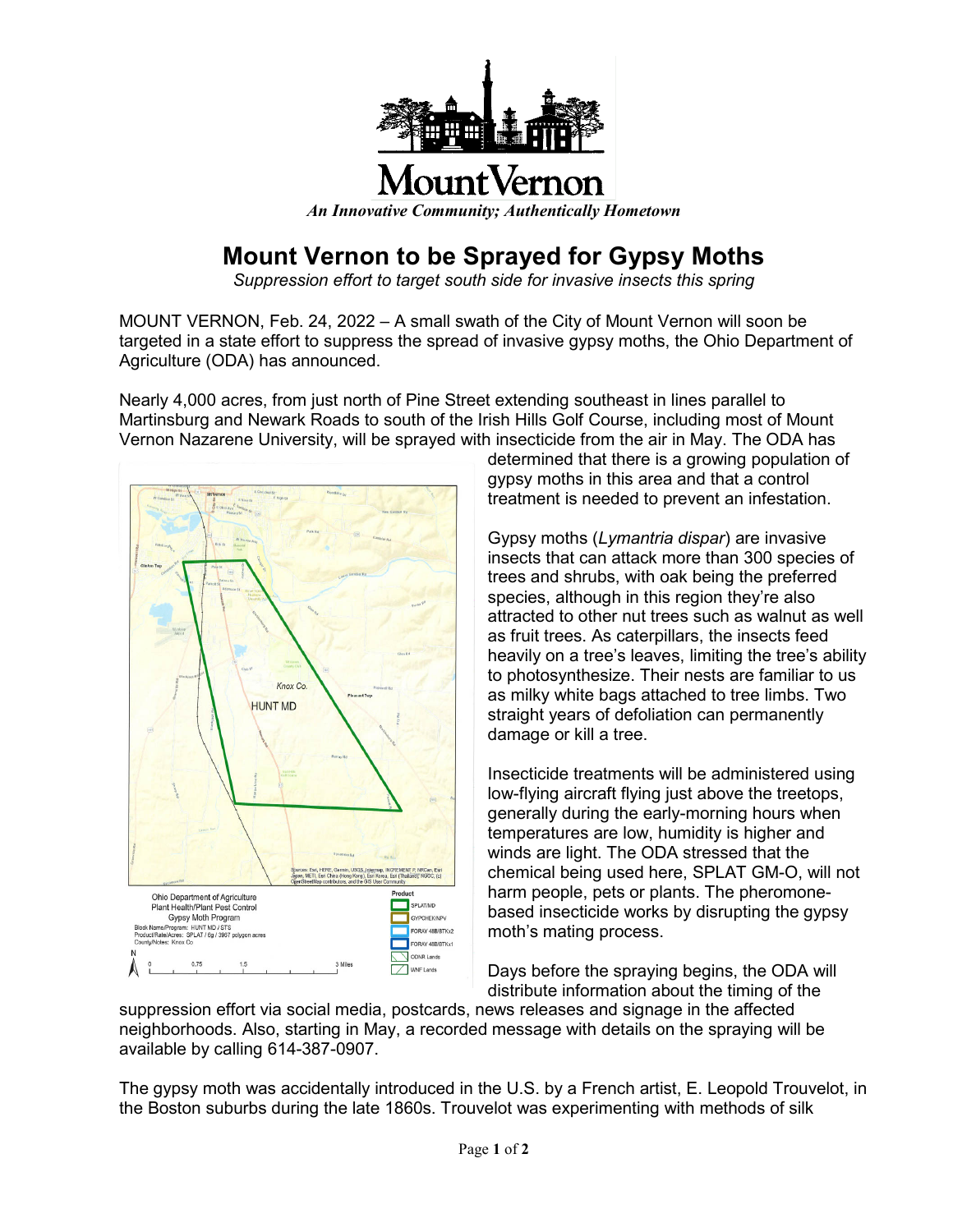

## **Mount Vernon to be Sprayed for Gypsy Moths**

*Suppression effort to target south side for invasive insects this spring*

MOUNT VERNON, Feb. 24, 2022 – A small swath of the City of Mount Vernon will soon be targeted in a state effort to suppress the spread of invasive gypsy moths, the Ohio Department of Agriculture (ODA) has announced.

Nearly 4,000 acres, from just north of Pine Street extending southeast in lines parallel to Martinsburg and Newark Roads to south of the Irish Hills Golf Course, including most of Mount Vernon Nazarene University, will be sprayed with insecticide from the air in May. The ODA has



determined that there is a growing population of gypsy moths in this area and that a control treatment is needed to prevent an infestation.

Gypsy moths (*Lymantria dispar*) are invasive insects that can attack more than 300 species of trees and shrubs, with oak being the preferred species, although in this region they're also attracted to other nut trees such as walnut as well as fruit trees. As caterpillars, the insects feed heavily on a tree's leaves, limiting the tree's ability to photosynthesize. Their nests are familiar to us as milky white bags attached to tree limbs. Two straight years of defoliation can permanently damage or kill a tree.

Insecticide treatments will be administered using low-flying aircraft flying just above the treetops, generally during the early-morning hours when temperatures are low, humidity is higher and winds are light. The ODA stressed that the chemical being used here, SPLAT GM-O, will not harm people, pets or plants. The pheromonebased insecticide works by disrupting the gypsy moth's mating process.

Days before the spraying begins, the ODA will distribute information about the timing of the

suppression effort via social media, postcards, news releases and signage in the affected neighborhoods. Also, starting in May, a recorded message with details on the spraying will be available by calling 614-387-0907.

The gypsy moth was accidentally introduced in the U.S. by a French artist, E. Leopold Trouvelot, in the Boston suburbs during the late 1860s. Trouvelot was experimenting with methods of silk